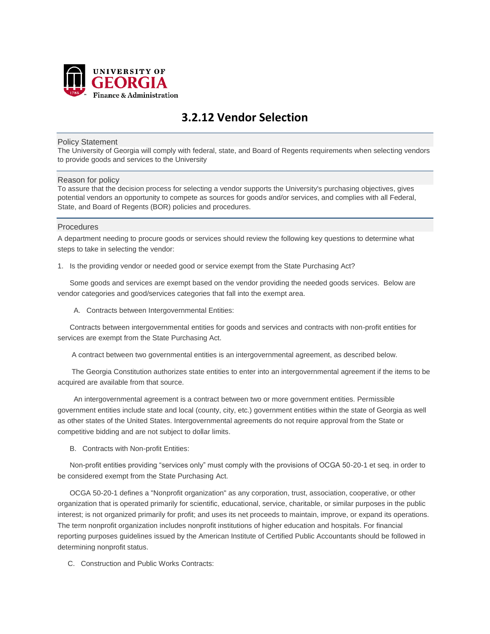

# **3.2.12 Vendor Selection**

#### Policy Statement

The University of Georgia will comply with federal, state, and Board of Regents requirements when selecting vendors to provide goods and services to the University

#### Reason for policy

To assure that the decision process for selecting a vendor supports the University's purchasing objectives, gives potential vendors an opportunity to compete as sources for goods and/or services, and complies with all Federal, State, and Board of Regents (BOR) policies and procedures.

#### Procedures

A department needing to procure goods or services should review the following key questions to determine what steps to take in selecting the vendor:

1. Is the providing vendor or needed good or service exempt from the State Purchasing Act?

 Some goods and services are exempt based on the vendor providing the needed goods services. Below are vendor categories and good/services categories that fall into the exempt area.

A. Contracts between Intergovernmental Entities:

 Contracts between intergovernmental entities for goods and services and contracts with non-profit entities for services are exempt from the State Purchasing Act.

A contract between two governmental entities is an intergovernmental agreement, as described below.

 The Georgia Constitution authorizes state entities to enter into an intergovernmental agreement if the items to be acquired are available from that source.

 An intergovernmental agreement is a contract between two or more government entities. Permissible government entities include state and local (county, city, etc.) government entities within the state of Georgia as well as other states of the United States. Intergovernmental agreements do not require approval from the State or competitive bidding and are not subject to dollar limits.

B. Contracts with Non-profit Entities:

 Non-profit entities providing "services only" must comply with the provisions of OCGA 50-20-1 et seq. in order to be considered exempt from the State Purchasing Act.

 OCGA 50-20-1 defines a "Nonprofit organization" as any corporation, trust, association, cooperative, or other organization that is operated primarily for scientific, educational, service, charitable, or similar purposes in the public interest; is not organized primarily for profit; and uses its net proceeds to maintain, improve, or expand its operations. The term nonprofit organization includes nonprofit institutions of higher education and hospitals. For financial reporting purposes guidelines issued by the American Institute of Certified Public Accountants should be followed in determining nonprofit status.

C. Construction and Public Works Contracts: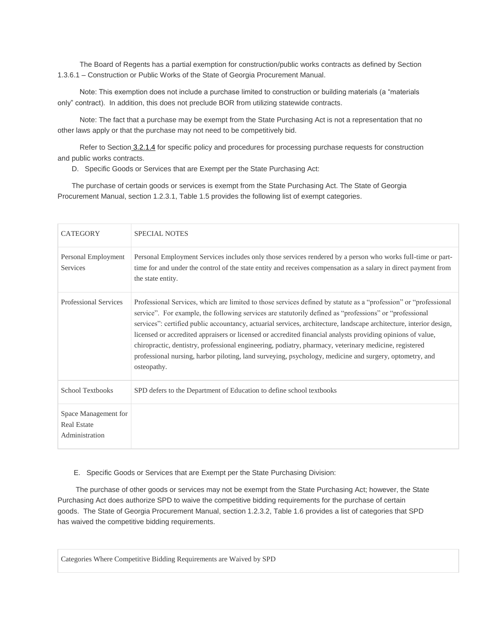The Board of Regents has a partial exemption for construction/public works contracts as defined by Section 1.3.6.1 – Construction or Public Works of the State of Georgia Procurement Manual.

 Note: This exemption does not include a purchase limited to construction or building materials (a "materials only" contract). In addition, this does not preclude BOR from utilizing statewide contracts.

 Note: The fact that a purchase may be exempt from the State Purchasing Act is not a representation that no other laws apply or that the purchase may not need to be competitively bid.

Refer to Section [3.2.1.4](http://www.policies.uga.edu/FA/nodes/view/1013/Invitation-to-Bid-Construction-Public-Works) for specific policy and procedures for processing purchase requests for construction and public works contracts.

D. Specific Goods or Services that are Exempt per the State Purchasing Act:

 The purchase of certain goods or services is exempt from the State Purchasing Act. The State of Georgia Procurement Manual, section 1.2.3.1, Table 1.5 provides the following list of exempt categories.

| <b>CATEGORY</b>                                              | <b>SPECIAL NOTES</b>                                                                                                                                                                                                                                                                                                                                                                                                                                                                                                                                                                                                                                                                                  |
|--------------------------------------------------------------|-------------------------------------------------------------------------------------------------------------------------------------------------------------------------------------------------------------------------------------------------------------------------------------------------------------------------------------------------------------------------------------------------------------------------------------------------------------------------------------------------------------------------------------------------------------------------------------------------------------------------------------------------------------------------------------------------------|
| Personal Employment<br><b>Services</b>                       | Personal Employment Services includes only those services rendered by a person who works full-time or part-<br>time for and under the control of the state entity and receives compensation as a salary in direct payment from<br>the state entity.                                                                                                                                                                                                                                                                                                                                                                                                                                                   |
| <b>Professional Services</b>                                 | Professional Services, which are limited to those services defined by statute as a "profession" or "professional<br>service". For example, the following services are statutorily defined as "professions" or "professional<br>services": certified public accountancy, actuarial services, architecture, landscape architecture, interior design,<br>licensed or accredited appraisers or licensed or accredited financial analysts providing opinions of value,<br>chiropractic, dentistry, professional engineering, podiatry, pharmacy, veterinary medicine, registered<br>professional nursing, harbor piloting, land surveying, psychology, medicine and surgery, optometry, and<br>osteopathy. |
| School Textbooks                                             | SPD defers to the Department of Education to define school textbooks                                                                                                                                                                                                                                                                                                                                                                                                                                                                                                                                                                                                                                  |
| Space Management for<br><b>Real Estate</b><br>Administration |                                                                                                                                                                                                                                                                                                                                                                                                                                                                                                                                                                                                                                                                                                       |

E. Specific Goods or Services that are Exempt per the State Purchasing Division:

 The purchase of other goods or services may not be exempt from the State Purchasing Act; however, the State Purchasing Act does authorize SPD to waive the competitive bidding requirements for the purchase of certain goods. The State of Georgia Procurement Manual, section 1.2.3.2, Table 1.6 provides a list of categories that SPD has waived the competitive bidding requirements.

Categories Where Competitive Bidding Requirements are Waived by SPD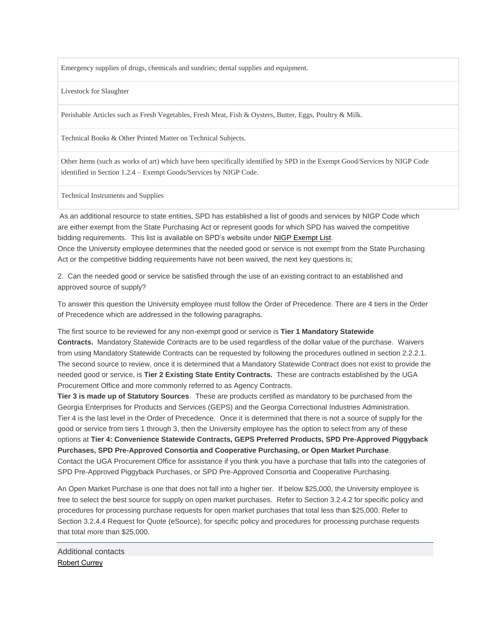Emergency supplies of drugs, chemicals and sundries; dental supplies and equipment.

Livestock for Slaughter

Perishable Articles such as Fresh Vegetables, Fresh Meat, Fish & Oysters, Butter, Eggs, Poultry & Milk.

Technical Books & Other Printed Matter on Technical Subjects.

Other Items (such as works of art) which have been specifically identified by SPD in the Exempt Good/Services by NIGP Code identified in Section 1.2.4 – Exempt Goods/Services by NIGP Code.

Technical Instruments and Supplies

As an additional resource to state entities, SPD has established a list of goods and services by NIGP Code which are either exempt from the State Purchasing Act or represent goods for which SPD has waived the competitive bidding requirements. This list is available on SPD's website under NIGP [Exempt](http://doas.ga.gov/assets/State%20Purchasing/NEADocumentLibrary/NIGPExemptList.pdf) List. Once the University employee determines that the needed good or service is not exempt from the State Purchasing Act or the competitive bidding requirements have not been waived, the next key questions is;

2. Can the needed good or service be satisfied through the use of an existing contract to an established and approved source of supply?

To answer this question the University employee must follow the Order of Precedence. There are 4 tiers in the Order of Precedence which are addressed in the following paragraphs.

The first source to be reviewed for any non-exempt good or service is **Tier 1 Mandatory Statewide Contracts.** Mandatory Statewide Contracts are to be used regardless of the dollar value of the purchase. Waivers from using Mandatory Statewide Contracts can be requested by following the procedures outlined in section 2.2.2.1. The second source to review, once it is determined that a Mandatory Statewide Contract does not exist to provide the needed good or service, is **Tier 2 Existing State Entity Contracts.** These are contracts established by the UGA Procurement Office and more commonly referred to as Agency Contracts.

**Tier 3 is made up of Statutory Sources**. These are products certified as mandatory to be purchased from the Georgia Enterprises for Products and Services (GEPS) and the Georgia Correctional Industries Administration. Tier 4 is the last level in the Order of Precedence. Once it is determined that there is not a source of supply for the good or service from tiers 1 through 3, then the University employee has the option to select from any of these options at **Tier 4: Convenience Statewide Contracts, GEPS Preferred Products, SPD Pre-Approved Piggyback Purchases, SPD Pre-Approved Consortia and Cooperative Purchasing, or Open Market Purchase**. Contact the UGA Procurement Office for assistance if you think you have a purchase that falls into the categories of SPD Pre-Approved Piggyback Purchases, or SPD Pre-Approved Consortia and Cooperative Purchasing.

An Open Market Purchase is one that does not fall into a higher tier. If below \$25,000, the University employee is free to select the best source for supply on open market purchases. Refer to Section 3.2.4.2 for specific policy and procedures for processing purchase requests for open market purchases that total less than \$25,000. Refer to Section 3.2.4.4 Request for Quote (eSource), for specific policy and procedures for processing purchase requests that total more than \$25,000.

Additional contacts [Robert Currey](mailto:Bob.Currey@uga.edu)